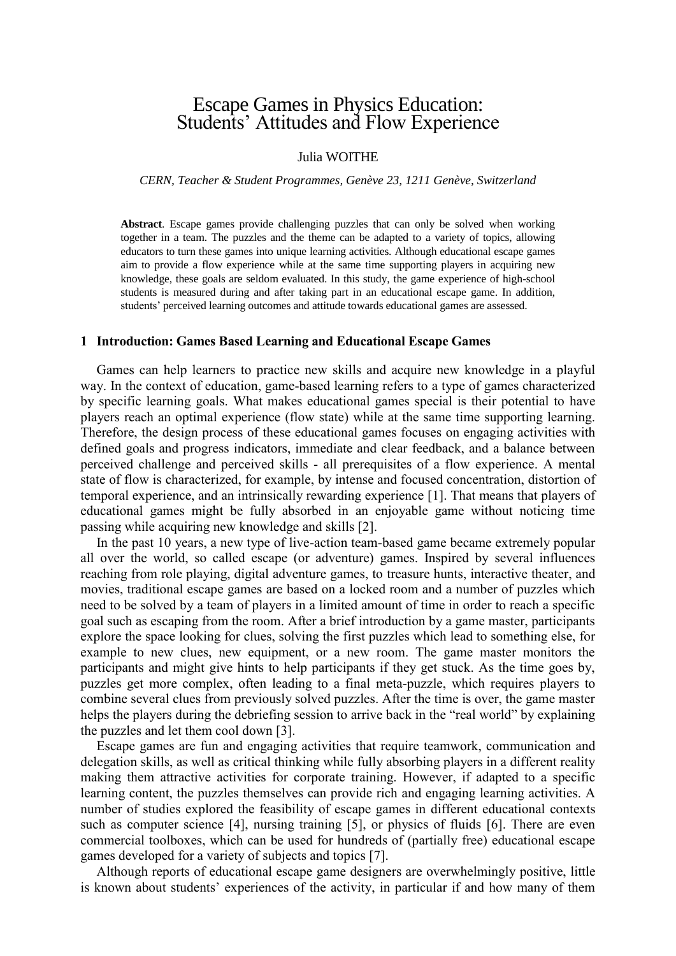# Escape Games in Physics Education: Students' Attitudes and Flow Experience

# Julia WOITHE

*CERN, Teacher & Student Programmes, Genève 23, 1211 Genève, Switzerland*

**Abstract**. Escape games provide challenging puzzles that can only be solved when working together in a team. The puzzles and the theme can be adapted to a variety of topics, allowing educators to turn these games into unique learning activities. Although educational escape games aim to provide a flow experience while at the same time supporting players in acquiring new knowledge, these goals are seldom evaluated. In this study, the game experience of high-school students is measured during and after taking part in an educational escape game. In addition, students' perceived learning outcomes and attitude towards educational games are assessed.

### **1 Introduction: Games Based Learning and Educational Escape Games**

Games can help learners to practice new skills and acquire new knowledge in a playful way. In the context of education, game-based learning refers to a type of games characterized by specific learning goals. What makes educational games special is their potential to have players reach an optimal experience (flow state) while at the same time supporting learning. Therefore, the design process of these educational games focuses on engaging activities with defined goals and progress indicators, immediate and clear feedback, and a balance between perceived challenge and perceived skills - all prerequisites of a flow experience. A mental state of flow is characterized, for example, by intense and focused concentration, distortion of temporal experience, and an intrinsically rewarding experience [1]. That means that players of educational games might be fully absorbed in an enjoyable game without noticing time passing while acquiring new knowledge and skills [2].

In the past 10 years, a new type of live-action team-based game became extremely popular all over the world, so called escape (or adventure) games. Inspired by several influences reaching from role playing, digital adventure games, to treasure hunts, interactive theater, and movies, traditional escape games are based on a locked room and a number of puzzles which need to be solved by a team of players in a limited amount of time in order to reach a specific goal such as escaping from the room. After a brief introduction by a game master, participants explore the space looking for clues, solving the first puzzles which lead to something else, for example to new clues, new equipment, or a new room. The game master monitors the participants and might give hints to help participants if they get stuck. As the time goes by, puzzles get more complex, often leading to a final meta-puzzle, which requires players to combine several clues from previously solved puzzles. After the time is over, the game master helps the players during the debriefing session to arrive back in the "real world" by explaining the puzzles and let them cool down [3].

Escape games are fun and engaging activities that require teamwork, communication and delegation skills, as well as critical thinking while fully absorbing players in a different reality making them attractive activities for corporate training. However, if adapted to a specific learning content, the puzzles themselves can provide rich and engaging learning activities. A number of studies explored the feasibility of escape games in different educational contexts such as computer science [4], nursing training [5], or physics of fluids [6]. There are even commercial toolboxes, which can be used for hundreds of (partially free) educational escape games developed for a variety of subjects and topics [7].

Although reports of educational escape game designers are overwhelmingly positive, little is known about students' experiences of the activity, in particular if and how many of them